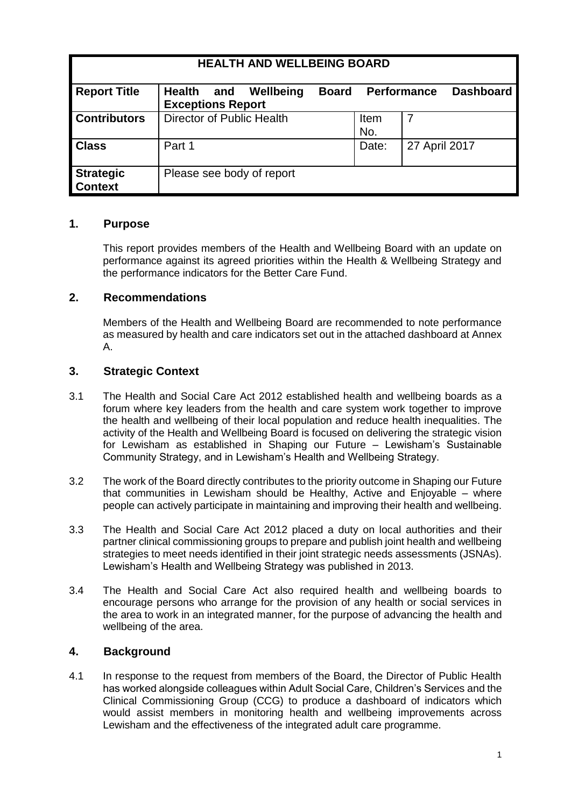| <b>HEALTH AND WELLBEING BOARD</b>  |                                                               |              |                    |               |                  |
|------------------------------------|---------------------------------------------------------------|--------------|--------------------|---------------|------------------|
| <b>Report Title</b>                | Wellbeing<br><b>Health</b><br>and<br><b>Exceptions Report</b> | <b>Board</b> | <b>Performance</b> |               | <b>Dashboard</b> |
| <b>Contributors</b>                | Director of Public Health                                     |              | Item<br>No.        |               |                  |
| <b>Class</b>                       | Part 1                                                        |              | Date:              | 27 April 2017 |                  |
| <b>Strategic</b><br><b>Context</b> | Please see body of report                                     |              |                    |               |                  |

#### **1. Purpose**

This report provides members of the Health and Wellbeing Board with an update on performance against its agreed priorities within the Health & Wellbeing Strategy and the performance indicators for the Better Care Fund.

#### **2. Recommendations**

Members of the Health and Wellbeing Board are recommended to note performance as measured by health and care indicators set out in the attached dashboard at Annex A.

#### **3. Strategic Context**

- 3.1 The [Health and Social Care Act 2012](http://webarchive.nationalarchives.gov.uk/20130805112926/http:/healthandcare.dh.gov.uk/act-factsheets) established health and wellbeing boards as a forum where key leaders from the health and care system work together to improve the health and wellbeing of their local population and reduce health inequalities. The activity of the Health and Wellbeing Board is focused on delivering the strategic vision for Lewisham as established in Shaping our Future *–* Lewisham's Sustainable Community Strategy, and in Lewisham's Health and Wellbeing Strategy.
- 3.2 The work of the Board directly contributes to the priority outcome in Shaping our Future that communities in Lewisham should be Healthy, Active and Enjoyable – where people can actively participate in maintaining and improving their health and wellbeing.
- 3.3 The Health and Social Care Act 2012 placed a duty on local authorities and their partner clinical commissioning groups to prepare and publish joint health and wellbeing strategies to meet needs identified in their joint strategic needs assessments (JSNAs). Lewisham's Health and Wellbeing Strategy was published in 2013.
- 3.4 The Health and Social Care Act also required health and wellbeing boards to encourage persons who arrange for the provision of any health or social services in the area to work in an integrated manner, for the purpose of advancing the health and wellbeing of the area.

### **4. Background**

4.1 In response to the request from members of the Board, the Director of Public Health has worked alongside colleagues within Adult Social Care, Children's Services and the Clinical Commissioning Group (CCG) to produce a dashboard of indicators which would assist members in monitoring health and wellbeing improvements across Lewisham and the effectiveness of the integrated adult care programme.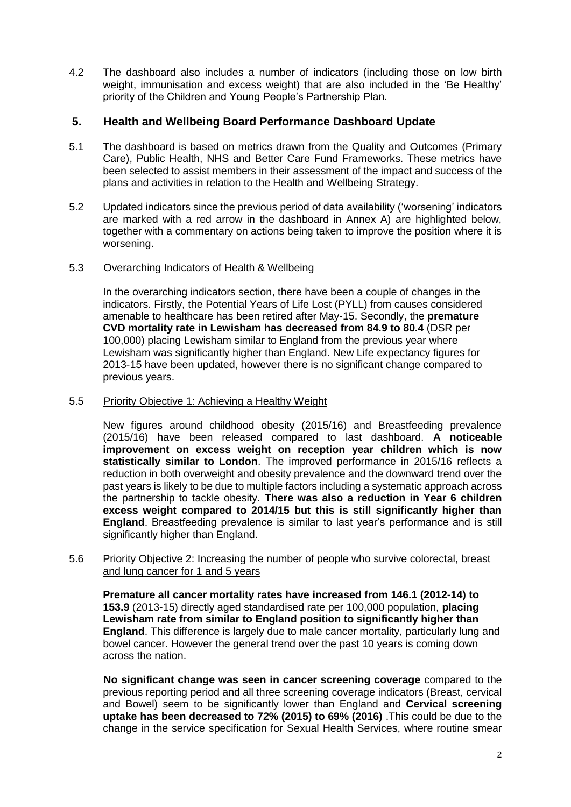4.2 The dashboard also includes a number of indicators (including those on low birth weight, immunisation and excess weight) that are also included in the 'Be Healthy' priority of the Children and Young People's Partnership Plan.

# **5. Health and Wellbeing Board Performance Dashboard Update**

- 5.1 The dashboard is based on metrics drawn from the Quality and Outcomes (Primary Care), Public Health, NHS and Better Care Fund Frameworks. These metrics have been selected to assist members in their assessment of the impact and success of the plans and activities in relation to the Health and Wellbeing Strategy.
- 5.2 Updated indicators since the previous period of data availability ('worsening' indicators are marked with a red arrow in the dashboard in Annex A) are highlighted below, together with a commentary on actions being taken to improve the position where it is worsening.

#### 5.3 Overarching Indicators of Health & Wellbeing

In the overarching indicators section, there have been a couple of changes in the indicators. Firstly, the Potential Years of Life Lost (PYLL) from causes considered amenable to healthcare has been retired after May-15. Secondly, the **premature CVD mortality rate in Lewisham has decreased from 84.9 to 80.4** (DSR per 100,000) placing Lewisham similar to England from the previous year where Lewisham was significantly higher than England. New Life expectancy figures for 2013-15 have been updated, however there is no significant change compared to previous years.

#### 5.5 Priority Objective 1: Achieving a Healthy Weight

New figures around childhood obesity (2015/16) and Breastfeeding prevalence (2015/16) have been released compared to last dashboard. **A noticeable improvement on excess weight on reception year children which is now statistically similar to London**. The improved performance in 2015/16 reflects a reduction in both overweight and obesity prevalence and the downward trend over the past years is likely to be due to multiple factors including a systematic approach across the partnership to tackle obesity. **There was also a reduction in Year 6 children excess weight compared to 2014/15 but this is still significantly higher than England**. Breastfeeding prevalence is similar to last year's performance and is still significantly higher than England.

#### 5.6 Priority Objective 2: Increasing the number of people who survive colorectal, breast and lung cancer for 1 and 5 years

**Premature all cancer mortality rates have increased from 146.1 (2012-14) to 153.9** (2013-15) directly aged standardised rate per 100,000 population, **placing Lewisham rate from similar to England position to significantly higher than England**. This difference is largely due to male cancer mortality, particularly lung and bowel cancer. However the general trend over the past 10 years is coming down across the nation.

**No significant change was seen in cancer screening coverage** compared to the previous reporting period and all three screening coverage indicators (Breast, cervical and Bowel) seem to be significantly lower than England and **Cervical screening uptake has been decreased to 72% (2015) to 69% (2016)** .This could be due to the change in the service specification for Sexual Health Services, where routine smear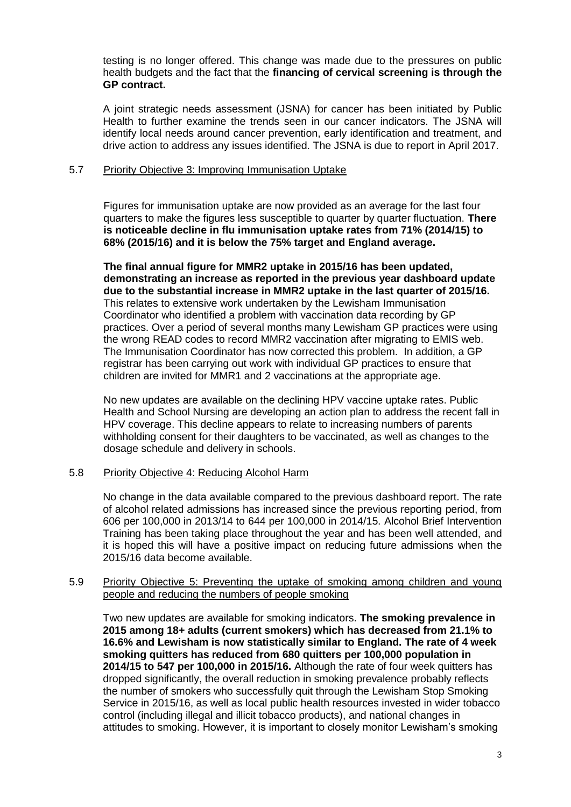testing is no longer offered. This change was made due to the pressures on public health budgets and the fact that the **financing of cervical screening is through the GP contract.**

A joint strategic needs assessment (JSNA) for cancer has been initiated by Public Health to further examine the trends seen in our cancer indicators. The JSNA will identify local needs around cancer prevention, early identification and treatment, and drive action to address any issues identified. The JSNA is due to report in April 2017.

#### 5.7 Priority Objective 3: Improving Immunisation Uptake

Figures for immunisation uptake are now provided as an average for the last four quarters to make the figures less susceptible to quarter by quarter fluctuation. **There is noticeable decline in flu immunisation uptake rates from 71% (2014/15) to 68% (2015/16) and it is below the 75% target and England average.**

**The final annual figure for MMR2 uptake in 2015/16 has been updated, demonstrating an increase as reported in the previous year dashboard update due to the substantial increase in MMR2 uptake in the last quarter of 2015/16.** This relates to extensive work undertaken by the Lewisham Immunisation Coordinator who identified a problem with vaccination data recording by GP practices. Over a period of several months many Lewisham GP practices were using the wrong READ codes to record MMR2 vaccination after migrating to EMIS web. The Immunisation Coordinator has now corrected this problem. In addition, a GP registrar has been carrying out work with individual GP practices to ensure that children are invited for MMR1 and 2 vaccinations at the appropriate age.

No new updates are available on the declining HPV vaccine uptake rates. Public Health and School Nursing are developing an action plan to address the recent fall in HPV coverage. This decline appears to relate to increasing numbers of parents withholding consent for their daughters to be vaccinated, as well as changes to the dosage schedule and delivery in schools.

#### 5.8 Priority Objective 4: Reducing Alcohol Harm

No change in the data available compared to the previous dashboard report. The rate of alcohol related admissions has increased since the previous reporting period, from 606 per 100,000 in 2013/14 to 644 per 100,000 in 2014/15. Alcohol Brief Intervention Training has been taking place throughout the year and has been well attended, and it is hoped this will have a positive impact on reducing future admissions when the 2015/16 data become available.

#### 5.9 Priority Objective 5: Preventing the uptake of smoking among children and young people and reducing the numbers of people smoking

Two new updates are available for smoking indicators. **The smoking prevalence in 2015 among 18+ adults (current smokers) which has decreased from 21.1% to 16.6% and Lewisham is now statistically similar to England. The rate of 4 week smoking quitters has reduced from 680 quitters per 100,000 population in 2014/15 to 547 per 100,000 in 2015/16.** Although the rate of four week quitters has dropped significantly, the overall reduction in smoking prevalence probably reflects the number of smokers who successfully quit through the Lewisham Stop Smoking Service in 2015/16, as well as local public health resources invested in wider tobacco control (including illegal and illicit tobacco products), and national changes in attitudes to smoking. However, it is important to closely monitor Lewisham's smoking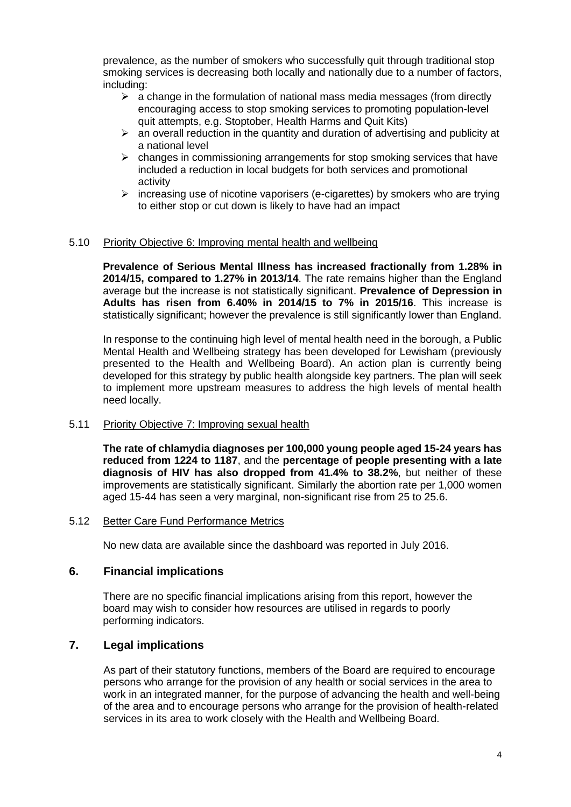prevalence, as the number of smokers who successfully quit through traditional stop smoking services is decreasing both locally and nationally due to a number of factors, including:

- $\triangleright$  a change in the formulation of national mass media messages (from directly encouraging access to stop smoking services to promoting population-level quit attempts, e.g. Stoptober, Health Harms and Quit Kits)
- $\triangleright$  an overall reduction in the quantity and duration of advertising and publicity at a national level
- $\triangleright$  changes in commissioning arrangements for stop smoking services that have included a reduction in local budgets for both services and promotional activity
- $\triangleright$  increasing use of nicotine vaporisers (e-cigarettes) by smokers who are trying to either stop or cut down is likely to have had an impact

#### 5.10 Priority Objective 6: Improving mental health and wellbeing

**Prevalence of Serious Mental Illness has increased fractionally from 1.28% in 2014/15, compared to 1.27% in 2013/14**. The rate remains higher than the England average but the increase is not statistically significant. **Prevalence of Depression in Adults has risen from 6.40% in 2014/15 to 7% in 2015/16**. This increase is statistically significant; however the prevalence is still significantly lower than England.

In response to the continuing high level of mental health need in the borough, a Public Mental Health and Wellbeing strategy has been developed for Lewisham (previously presented to the Health and Wellbeing Board). An action plan is currently being developed for this strategy by public health alongside key partners. The plan will seek to implement more upstream measures to address the high levels of mental health need locally.

#### 5.11 Priority Objective 7: Improving sexual health

**The rate of chlamydia diagnoses per 100,000 young people aged 15-24 years has reduced from 1224 to 1187**, and the **percentage of people presenting with a late diagnosis of HIV has also dropped from 41.4% to 38.2%**, but neither of these improvements are statistically significant. Similarly the abortion rate per 1,000 women aged 15-44 has seen a very marginal, non-significant rise from 25 to 25.6.

#### 5.12 Better Care Fund Performance Metrics

No new data are available since the dashboard was reported in July 2016.

#### **6. Financial implications**

There are no specific financial implications arising from this report, however the board may wish to consider how resources are utilised in regards to poorly performing indicators.

### **7. Legal implications**

As part of their statutory functions, members of the Board are required to encourage persons who arrange for the provision of any health or social services in the area to work in an integrated manner, for the purpose of advancing the health and well-being of the area and to encourage persons who arrange for the provision of health-related services in its area to work closely with the Health and Wellbeing Board.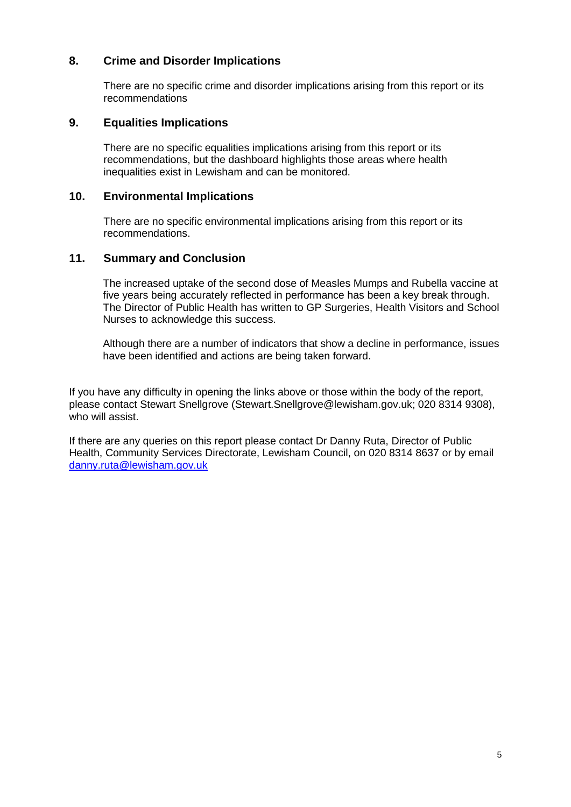## **8. Crime and Disorder Implications**

There are no specific crime and disorder implications arising from this report or its recommendations

### **9. Equalities Implications**

There are no specific equalities implications arising from this report or its recommendations, but the dashboard highlights those areas where health inequalities exist in Lewisham and can be monitored.

#### **10. Environmental Implications**

There are no specific environmental implications arising from this report or its recommendations.

### **11. Summary and Conclusion**

The increased uptake of the second dose of Measles Mumps and Rubella vaccine at five years being accurately reflected in performance has been a key break through. The Director of Public Health has written to GP Surgeries, Health Visitors and School Nurses to acknowledge this success.

Although there are a number of indicators that show a decline in performance, issues have been identified and actions are being taken forward.

If you have any difficulty in opening the links above or those within the body of the report, please contact Stewart Snellgrove (Stewart.Snellgrove@lewisham.gov.uk; 020 8314 9308), who will assist.

If there are any queries on this report please contact Dr Danny Ruta, Director of Public Health, Community Services Directorate, Lewisham Council, on 020 8314 8637 or by email [danny.ruta@lewisham.gov.uk](mailto:danny.ruta@lewisham.gov.uk)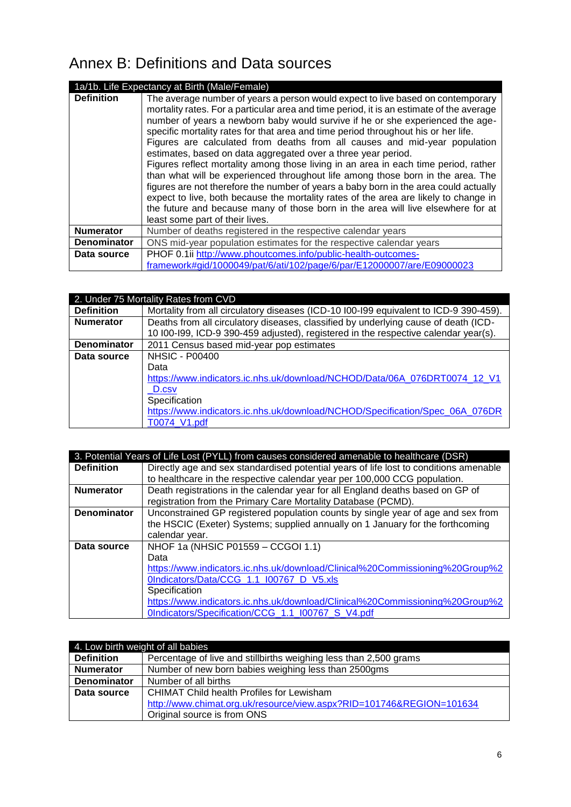# Annex B: Definitions and Data sources

|                    | 1a/1b. Life Expectancy at Birth (Male/Female)                                                                                                                                                                                                                                                                                                                                                                                                                                                                                                                                                                                                                                                                                                                                                                                                                                                                                                                                       |  |  |
|--------------------|-------------------------------------------------------------------------------------------------------------------------------------------------------------------------------------------------------------------------------------------------------------------------------------------------------------------------------------------------------------------------------------------------------------------------------------------------------------------------------------------------------------------------------------------------------------------------------------------------------------------------------------------------------------------------------------------------------------------------------------------------------------------------------------------------------------------------------------------------------------------------------------------------------------------------------------------------------------------------------------|--|--|
| <b>Definition</b>  | The average number of years a person would expect to live based on contemporary<br>mortality rates. For a particular area and time period, it is an estimate of the average<br>number of years a newborn baby would survive if he or she experienced the age-<br>specific mortality rates for that area and time period throughout his or her life.<br>Figures are calculated from deaths from all causes and mid-year population<br>estimates, based on data aggregated over a three year period.<br>Figures reflect mortality among those living in an area in each time period, rather<br>than what will be experienced throughout life among those born in the area. The<br>figures are not therefore the number of years a baby born in the area could actually<br>expect to live, both because the mortality rates of the area are likely to change in<br>the future and because many of those born in the area will live elsewhere for at<br>least some part of their lives. |  |  |
| <b>Numerator</b>   | Number of deaths registered in the respective calendar years                                                                                                                                                                                                                                                                                                                                                                                                                                                                                                                                                                                                                                                                                                                                                                                                                                                                                                                        |  |  |
| <b>Denominator</b> | ONS mid-year population estimates for the respective calendar years                                                                                                                                                                                                                                                                                                                                                                                                                                                                                                                                                                                                                                                                                                                                                                                                                                                                                                                 |  |  |
| Data source        | PHOF 0.1ii http://www.phoutcomes.info/public-health-outcomes-<br>framework#gid/1000049/pat/6/ati/102/page/6/par/E12000007/are/E09000023                                                                                                                                                                                                                                                                                                                                                                                                                                                                                                                                                                                                                                                                                                                                                                                                                                             |  |  |

|                    | 2. Under 75 Mortality Rates from CVD                                                  |
|--------------------|---------------------------------------------------------------------------------------|
| <b>Definition</b>  | Mortality from all circulatory diseases (ICD-10 I00-I99 equivalent to ICD-9 390-459). |
| <b>Numerator</b>   | Deaths from all circulatory diseases, classified by underlying cause of death (ICD-   |
|                    | 10 I00-I99, ICD-9 390-459 adjusted), registered in the respective calendar year(s).   |
| <b>Denominator</b> | 2011 Census based mid-year pop estimates                                              |
| Data source        | <b>NHSIC - P00400</b>                                                                 |
|                    | Data                                                                                  |
|                    | https://www.indicators.ic.nhs.uk/download/NCHOD/Data/06A 076DRT0074 12 V1             |
|                    | D.csv                                                                                 |
|                    | Specification                                                                         |
|                    | https://www.indicators.ic.nhs.uk/download/NCHOD/Specification/Spec 06A 076DR          |
|                    | T0074 V1.pdf                                                                          |

| 3. Potential Years of Life Lost (PYLL) from causes considered amenable to healthcare (DSR) |                                                                                       |  |
|--------------------------------------------------------------------------------------------|---------------------------------------------------------------------------------------|--|
| <b>Definition</b>                                                                          | Directly age and sex standardised potential years of life lost to conditions amenable |  |
|                                                                                            | to healthcare in the respective calendar year per 100,000 CCG population.             |  |
| <b>Numerator</b>                                                                           | Death registrations in the calendar year for all England deaths based on GP of        |  |
|                                                                                            | registration from the Primary Care Mortality Database (PCMD).                         |  |
| <b>Denominator</b>                                                                         | Unconstrained GP registered population counts by single year of age and sex from      |  |
|                                                                                            | the HSCIC (Exeter) Systems; supplied annually on 1 January for the forthcoming        |  |
|                                                                                            | calendar year.                                                                        |  |
| Data source                                                                                | NHOF 1a (NHSIC P01559 - CCGOI 1.1)                                                    |  |
|                                                                                            | Data                                                                                  |  |
|                                                                                            | https://www.indicators.ic.nhs.uk/download/Clinical%20Commissioning%20Group%2          |  |
|                                                                                            | 0Indicators/Data/CCG 1.1 I00767 D V5.xls                                              |  |
|                                                                                            | Specification                                                                         |  |
|                                                                                            | https://www.indicators.ic.nhs.uk/download/Clinical%20Commissioning%20Group%2          |  |
|                                                                                            | OIndicators/Specification/CCG 1.1 I00767 S V4.pdf                                     |  |

| 4. Low birth weight of all babies |                                                                      |  |
|-----------------------------------|----------------------------------------------------------------------|--|
| <b>Definition</b>                 | Percentage of live and stillbirths weighing less than 2,500 grams    |  |
| <b>Numerator</b>                  | Number of new born babies weighing less than 2500gms                 |  |
| <b>Denominator</b>                | Number of all births                                                 |  |
| Data source                       | <b>CHIMAT Child health Profiles for Lewisham</b>                     |  |
|                                   | http://www.chimat.org.uk/resource/view.aspx?RID=101746&REGION=101634 |  |
|                                   | Original source is from ONS                                          |  |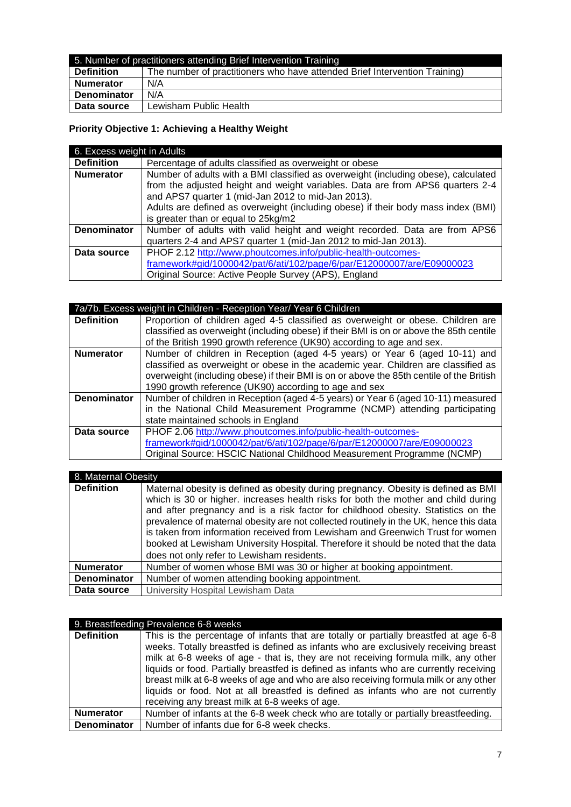| 5. Number of practitioners attending Brief Intervention Training |                                                                            |
|------------------------------------------------------------------|----------------------------------------------------------------------------|
| <b>Definition</b>                                                | The number of practitioners who have attended Brief Intervention Training) |
| <b>Numerator</b>                                                 | N/A                                                                        |
| <b>Denominator</b>                                               | N/A                                                                        |
| Data source                                                      | Lewisham Public Health                                                     |

# **Priority Objective 1: Achieving a Healthy Weight**

| 6. Excess weight in Adults |                                                                                                                                      |  |
|----------------------------|--------------------------------------------------------------------------------------------------------------------------------------|--|
| <b>Definition</b>          | Percentage of adults classified as overweight or obese                                                                               |  |
| <b>Numerator</b>           | Number of adults with a BMI classified as overweight (including obese), calculated                                                   |  |
|                            | from the adjusted height and weight variables. Data are from APS6 quarters 2-4<br>and APS7 quarter 1 (mid-Jan 2012 to mid-Jan 2013). |  |
|                            | Adults are defined as overweight (including obese) if their body mass index (BMI)                                                    |  |
|                            | is greater than or equal to 25kg/m2                                                                                                  |  |
| <b>Denominator</b>         | Number of adults with valid height and weight recorded. Data are from APS6                                                           |  |
|                            | quarters 2-4 and APS7 quarter 1 (mid-Jan 2012 to mid-Jan 2013).                                                                      |  |
| Data source                | PHOF 2.12 http://www.phoutcomes.info/public-health-outcomes-                                                                         |  |
|                            | framework#gid/1000042/pat/6/ati/102/page/6/par/E12000007/are/E09000023                                                               |  |
|                            | Original Source: Active People Survey (APS), England                                                                                 |  |

| 7a/7b. Excess weight in Children - Reception Year/ Year 6 Children |                                                                                          |  |
|--------------------------------------------------------------------|------------------------------------------------------------------------------------------|--|
| <b>Definition</b>                                                  | Proportion of children aged 4-5 classified as overweight or obese. Children are          |  |
|                                                                    | classified as overweight (including obese) if their BMI is on or above the 85th centile  |  |
|                                                                    | of the British 1990 growth reference (UK90) according to age and sex.                    |  |
| <b>Numerator</b>                                                   | Number of children in Reception (aged 4-5 years) or Year 6 (aged 10-11) and              |  |
|                                                                    | classified as overweight or obese in the academic year. Children are classified as       |  |
|                                                                    | overweight (including obese) if their BMI is on or above the 85th centile of the British |  |
|                                                                    | 1990 growth reference (UK90) according to age and sex                                    |  |
| <b>Denominator</b>                                                 | Number of children in Reception (aged 4-5 years) or Year 6 (aged 10-11) measured         |  |
|                                                                    | in the National Child Measurement Programme (NCMP) attending participating               |  |
|                                                                    | state maintained schools in England                                                      |  |
| Data source                                                        | PHOF 2.06 http://www.phoutcomes.info/public-health-outcomes-                             |  |
|                                                                    | framework#gid/1000042/pat/6/ati/102/page/6/par/E12000007/are/E09000023                   |  |
|                                                                    | Original Source: HSCIC National Childhood Measurement Programme (NCMP)                   |  |

| 8. Maternal Obesity |                                                                                                                                                                                                                                                                                                                                                                                                                                                                                                                                                                              |  |
|---------------------|------------------------------------------------------------------------------------------------------------------------------------------------------------------------------------------------------------------------------------------------------------------------------------------------------------------------------------------------------------------------------------------------------------------------------------------------------------------------------------------------------------------------------------------------------------------------------|--|
| <b>Definition</b>   | Maternal obesity is defined as obesity during pregnancy. Obesity is defined as BMI<br>which is 30 or higher. increases health risks for both the mother and child during<br>and after pregnancy and is a risk factor for childhood obesity. Statistics on the<br>prevalence of maternal obesity are not collected routinely in the UK, hence this data<br>is taken from information received from Lewisham and Greenwich Trust for women<br>booked at Lewisham University Hospital. Therefore it should be noted that the data<br>does not only refer to Lewisham residents. |  |
| <b>Numerator</b>    | Number of women whose BMI was 30 or higher at booking appointment.                                                                                                                                                                                                                                                                                                                                                                                                                                                                                                           |  |
| <b>Denominator</b>  | Number of women attending booking appointment.                                                                                                                                                                                                                                                                                                                                                                                                                                                                                                                               |  |
| Data source         | University Hospital Lewisham Data                                                                                                                                                                                                                                                                                                                                                                                                                                                                                                                                            |  |

|                    | 9. Breastfeeding Prevalence 6-8 weeks                                                  |
|--------------------|----------------------------------------------------------------------------------------|
| <b>Definition</b>  | This is the percentage of infants that are totally or partially breastfed at age 6-8   |
|                    | weeks. Totally breastfed is defined as infants who are exclusively receiving breast    |
|                    | milk at 6-8 weeks of age - that is, they are not receiving formula milk, any other     |
|                    | liquids or food. Partially breastfed is defined as infants who are currently receiving |
|                    | breast milk at 6-8 weeks of age and who are also receiving formula milk or any other   |
|                    | liquids or food. Not at all breastfed is defined as infants who are not currently      |
|                    | receiving any breast milk at 6-8 weeks of age.                                         |
| <b>Numerator</b>   | Number of infants at the 6-8 week check who are totally or partially breastfeeding.    |
| <b>Denominator</b> | Number of infants due for 6-8 week checks.                                             |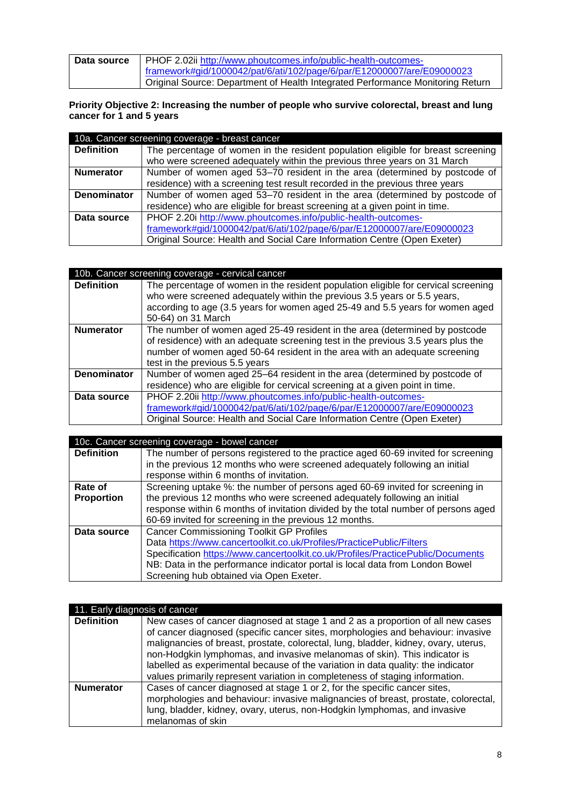| Data source | PHOF 2.02ii http://www.phoutcomes.info/public-health-outcomes-                 |
|-------------|--------------------------------------------------------------------------------|
|             | framework#gid/1000042/pat/6/ati/102/page/6/par/E12000007/are/E09000023         |
|             | Original Source: Department of Health Integrated Performance Monitoring Return |

#### **Priority Objective 2: Increasing the number of people who survive colorectal, breast and lung cancer for 1 and 5 years**

| 10a. Cancer screening coverage - breast cancer |                                                                                  |  |
|------------------------------------------------|----------------------------------------------------------------------------------|--|
| <b>Definition</b>                              | The percentage of women in the resident population eligible for breast screening |  |
|                                                | who were screened adequately within the previous three years on 31 March         |  |
| <b>Numerator</b>                               | Number of women aged 53–70 resident in the area (determined by postcode of       |  |
|                                                | residence) with a screening test result recorded in the previous three years     |  |
| <b>Denominator</b>                             | Number of women aged 53-70 resident in the area (determined by postcode of       |  |
|                                                | residence) who are eligible for breast screening at a given point in time.       |  |
| Data source                                    | PHOF 2.20i http://www.phoutcomes.info/public-health-outcomes-                    |  |
|                                                | framework#gid/1000042/pat/6/ati/102/page/6/par/E12000007/are/E09000023           |  |
|                                                | Original Source: Health and Social Care Information Centre (Open Exeter)         |  |

|                    | 10b. Cancer screening coverage - cervical cancer                                                                                                               |
|--------------------|----------------------------------------------------------------------------------------------------------------------------------------------------------------|
| <b>Definition</b>  | The percentage of women in the resident population eligible for cervical screening<br>who were screened adequately within the previous 3.5 years or 5.5 years, |
|                    | according to age (3.5 years for women aged 25-49 and 5.5 years for women aged<br>50-64) on 31 March                                                            |
| <b>Numerator</b>   | The number of women aged 25-49 resident in the area (determined by postcode                                                                                    |
|                    | of residence) with an adequate screening test in the previous 3.5 years plus the                                                                               |
|                    | number of women aged 50-64 resident in the area with an adequate screening                                                                                     |
|                    | test in the previous 5.5 years                                                                                                                                 |
| <b>Denominator</b> | Number of women aged 25-64 resident in the area (determined by postcode of                                                                                     |
|                    | residence) who are eligible for cervical screening at a given point in time.                                                                                   |
| Data source        | PHOF 2.20ii http://www.phoutcomes.info/public-health-outcomes-                                                                                                 |
|                    | framework#gid/1000042/pat/6/ati/102/page/6/par/E12000007/are/E09000023                                                                                         |
|                    | Original Source: Health and Social Care Information Centre (Open Exeter)                                                                                       |

| 10c. Cancer screening coverage - bowel cancer |                                                                                    |
|-----------------------------------------------|------------------------------------------------------------------------------------|
| <b>Definition</b>                             | The number of persons registered to the practice aged 60-69 invited for screening  |
|                                               | in the previous 12 months who were screened adequately following an initial        |
|                                               | response within 6 months of invitation.                                            |
| Rate of                                       | Screening uptake %: the number of persons aged 60-69 invited for screening in      |
| <b>Proportion</b>                             | the previous 12 months who were screened adequately following an initial           |
|                                               | response within 6 months of invitation divided by the total number of persons aged |
|                                               | 60-69 invited for screening in the previous 12 months.                             |
| Data source                                   | <b>Cancer Commissioning Toolkit GP Profiles</b>                                    |
|                                               | Data https://www.cancertoolkit.co.uk/Profiles/PracticePublic/Filters               |
|                                               | Specification https://www.cancertoolkit.co.uk/Profiles/PracticePublic/Documents    |
|                                               | NB: Data in the performance indicator portal is local data from London Bowel       |
|                                               | Screening hub obtained via Open Exeter.                                            |

|                   | 11. Early diagnosis of cancer                                                                                                                                                                                                                                                                                                                                                                                                                                                                               |  |
|-------------------|-------------------------------------------------------------------------------------------------------------------------------------------------------------------------------------------------------------------------------------------------------------------------------------------------------------------------------------------------------------------------------------------------------------------------------------------------------------------------------------------------------------|--|
| <b>Definition</b> | New cases of cancer diagnosed at stage 1 and 2 as a proportion of all new cases<br>of cancer diagnosed (specific cancer sites, morphologies and behaviour: invasive<br>malignancies of breast, prostate, colorectal, lung, bladder, kidney, ovary, uterus,<br>non-Hodgkin lymphomas, and invasive melanomas of skin). This indicator is<br>labelled as experimental because of the variation in data quality: the indicator<br>values primarily represent variation in completeness of staging information. |  |
| <b>Numerator</b>  | Cases of cancer diagnosed at stage 1 or 2, for the specific cancer sites,<br>morphologies and behaviour: invasive malignancies of breast, prostate, colorectal,<br>lung, bladder, kidney, ovary, uterus, non-Hodgkin lymphomas, and invasive<br>melanomas of skin                                                                                                                                                                                                                                           |  |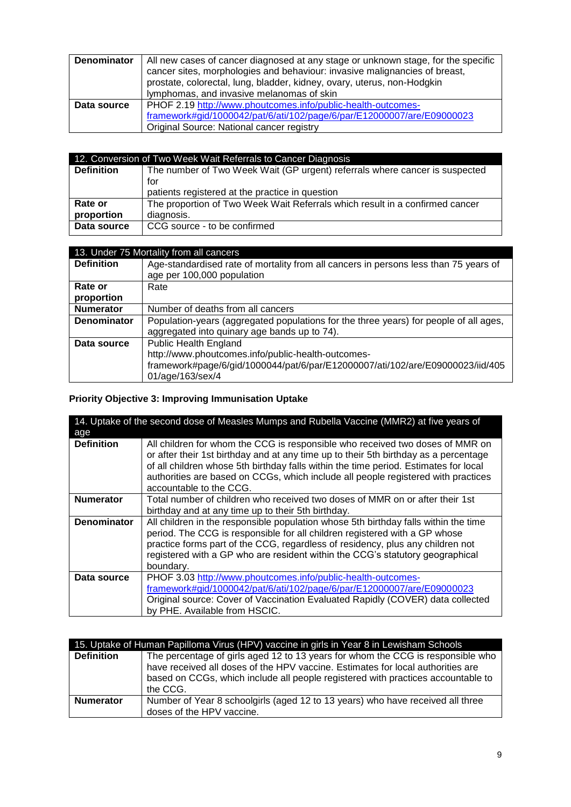| <b>Denominator</b> | All new cases of cancer diagnosed at any stage or unknown stage, for the specific<br>cancer sites, morphologies and behaviour: invasive malignancies of breast,<br>prostate, colorectal, lung, bladder, kidney, ovary, uterus, non-Hodgkin<br>lymphomas, and invasive melanomas of skin |
|--------------------|-----------------------------------------------------------------------------------------------------------------------------------------------------------------------------------------------------------------------------------------------------------------------------------------|
| Data source        | PHOF 2.19 http://www.phoutcomes.info/public-health-outcomes-<br>framework#gid/1000042/pat/6/ati/102/page/6/par/E12000007/are/E09000023<br>Original Source: National cancer registry                                                                                                     |

| 12. Conversion of Two Week Wait Referrals to Cancer Diagnosis |                                                                              |
|---------------------------------------------------------------|------------------------------------------------------------------------------|
| <b>Definition</b>                                             | The number of Two Week Wait (GP urgent) referrals where cancer is suspected  |
|                                                               | for                                                                          |
|                                                               | patients registered at the practice in question                              |
| Rate or                                                       | The proportion of Two Week Wait Referrals which result in a confirmed cancer |
| proportion                                                    | diagnosis.                                                                   |
| Data source                                                   | CCG source - to be confirmed                                                 |
|                                                               |                                                                              |

| 13. Under 75 Mortality from all cancers |                                                                                                                                       |
|-----------------------------------------|---------------------------------------------------------------------------------------------------------------------------------------|
| <b>Definition</b>                       | Age-standardised rate of mortality from all cancers in persons less than 75 years of<br>age per 100,000 population                    |
| Rate or                                 | Rate                                                                                                                                  |
| proportion                              |                                                                                                                                       |
| <b>Numerator</b>                        | Number of deaths from all cancers                                                                                                     |
| <b>Denominator</b>                      | Population-years (aggregated populations for the three years) for people of all ages,<br>aggregated into quinary age bands up to 74). |
| Data source                             | Public Health England                                                                                                                 |
|                                         | http://www.phoutcomes.info/public-health-outcomes-<br>framework#page/6/gid/1000044/pat/6/par/E12000007/ati/102/are/E09000023/iid/405  |
|                                         | 01/age/163/sex/4                                                                                                                      |

# **Priority Objective 3: Improving Immunisation Uptake**

| 14. Uptake of the second dose of Measles Mumps and Rubella Vaccine (MMR2) at five years of |                                                                                                                                                                                                                                                                                                                                                                               |
|--------------------------------------------------------------------------------------------|-------------------------------------------------------------------------------------------------------------------------------------------------------------------------------------------------------------------------------------------------------------------------------------------------------------------------------------------------------------------------------|
| age                                                                                        |                                                                                                                                                                                                                                                                                                                                                                               |
| <b>Definition</b>                                                                          | All children for whom the CCG is responsible who received two doses of MMR on<br>or after their 1st birthday and at any time up to their 5th birthday as a percentage<br>of all children whose 5th birthday falls within the time period. Estimates for local<br>authorities are based on CCGs, which include all people registered with practices<br>accountable to the CCG. |
| <b>Numerator</b>                                                                           | Total number of children who received two doses of MMR on or after their 1st                                                                                                                                                                                                                                                                                                  |
|                                                                                            | birthday and at any time up to their 5th birthday.                                                                                                                                                                                                                                                                                                                            |
| <b>Denominator</b>                                                                         | All children in the responsible population whose 5th birthday falls within the time                                                                                                                                                                                                                                                                                           |
|                                                                                            | period. The CCG is responsible for all children registered with a GP whose                                                                                                                                                                                                                                                                                                    |
|                                                                                            | practice forms part of the CCG, regardless of residency, plus any children not                                                                                                                                                                                                                                                                                                |
|                                                                                            | registered with a GP who are resident within the CCG's statutory geographical                                                                                                                                                                                                                                                                                                 |
|                                                                                            | boundary.                                                                                                                                                                                                                                                                                                                                                                     |
| Data source                                                                                | PHOF 3.03 http://www.phoutcomes.info/public-health-outcomes-                                                                                                                                                                                                                                                                                                                  |
|                                                                                            | framework#gid/1000042/pat/6/ati/102/page/6/par/E12000007/are/E09000023                                                                                                                                                                                                                                                                                                        |
|                                                                                            | Original source: Cover of Vaccination Evaluated Rapidly (COVER) data collected                                                                                                                                                                                                                                                                                                |
|                                                                                            | by PHE. Available from HSCIC.                                                                                                                                                                                                                                                                                                                                                 |

| 15. Uptake of Human Papilloma Virus (HPV) vaccine in girls in Year 8 in Lewisham Schools |                                                                                                                                                                                                                                                                    |
|------------------------------------------------------------------------------------------|--------------------------------------------------------------------------------------------------------------------------------------------------------------------------------------------------------------------------------------------------------------------|
| <b>Definition</b>                                                                        | The percentage of girls aged 12 to 13 years for whom the CCG is responsible who<br>have received all doses of the HPV vaccine. Estimates for local authorities are<br>based on CCGs, which include all people registered with practices accountable to<br>the CCG. |
| <b>Numerator</b>                                                                         | Number of Year 8 schoolgirls (aged 12 to 13 years) who have received all three<br>doses of the HPV vaccine.                                                                                                                                                        |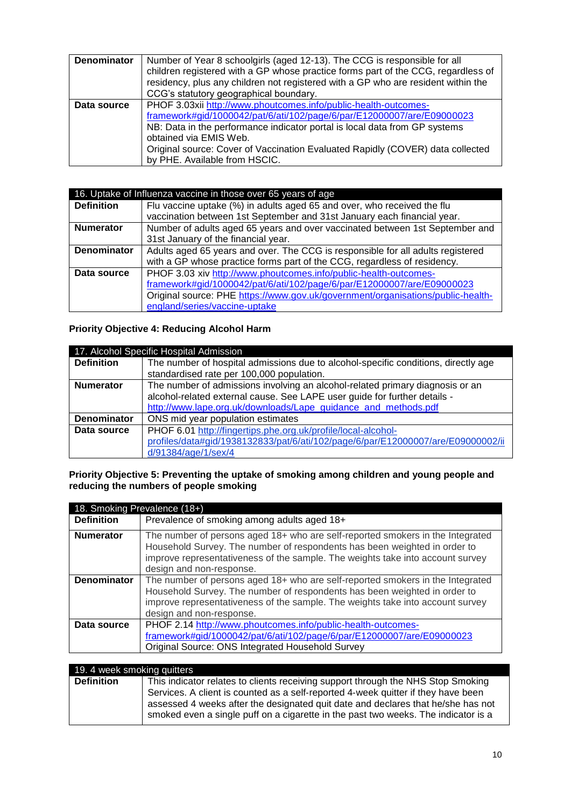| <b>Denominator</b> | Number of Year 8 schoolgirls (aged 12-13). The CCG is responsible for all<br>children registered with a GP whose practice forms part of the CCG, regardless of<br>residency, plus any children not registered with a GP who are resident within the<br>CCG's statutory geographical boundary.                                                                        |
|--------------------|----------------------------------------------------------------------------------------------------------------------------------------------------------------------------------------------------------------------------------------------------------------------------------------------------------------------------------------------------------------------|
| Data source        | PHOF 3.03xii http://www.phoutcomes.info/public-health-outcomes-<br>framework#gid/1000042/pat/6/ati/102/page/6/par/E12000007/are/E09000023<br>NB: Data in the performance indicator portal is local data from GP systems<br>obtained via EMIS Web.<br>Original source: Cover of Vaccination Evaluated Rapidly (COVER) data collected<br>by PHE. Available from HSCIC. |

|                    | 16. Uptake of Influenza vaccine in those over 65 years of age                   |
|--------------------|---------------------------------------------------------------------------------|
| <b>Definition</b>  | Flu vaccine uptake (%) in adults aged 65 and over, who received the flu         |
|                    | vaccination between 1st September and 31st January each financial year.         |
| <b>Numerator</b>   | Number of adults aged 65 years and over vaccinated between 1st September and    |
|                    | 31st January of the financial year.                                             |
| <b>Denominator</b> | Adults aged 65 years and over. The CCG is responsible for all adults registered |
|                    | with a GP whose practice forms part of the CCG, regardless of residency.        |
| Data source        | PHOF 3.03 xiv http://www.phoutcomes.info/public-health-outcomes-                |
|                    | framework#gid/1000042/pat/6/ati/102/page/6/par/E12000007/are/E09000023          |
|                    | Original source: PHE https://www.gov.uk/government/organisations/public-health- |
|                    | england/series/vaccine-uptake                                                   |

# **Priority Objective 4: Reducing Alcohol Harm**

| 17. Alcohol Specific Hospital Admission |                                                                                    |
|-----------------------------------------|------------------------------------------------------------------------------------|
| <b>Definition</b>                       | The number of hospital admissions due to alcohol-specific conditions, directly age |
|                                         | standardised rate per 100,000 population.                                          |
| <b>Numerator</b>                        | The number of admissions involving an alcohol-related primary diagnosis or an      |
|                                         | alcohol-related external cause. See LAPE user guide for further details -          |
|                                         | http://www.lape.org.uk/downloads/Lape_guidance_and_methods.pdf                     |
| <b>Denominator</b>                      | ONS mid year population estimates                                                  |
| Data source                             | PHOF 6.01 http://fingertips.phe.org.uk/profile/local-alcohol-                      |
|                                         | profiles/data#gid/1938132833/pat/6/ati/102/page/6/par/E12000007/are/E09000002/ii   |
|                                         | d/91384/age/1/sex/4                                                                |

#### **Priority Objective 5: Preventing the uptake of smoking among children and young people and reducing the numbers of people smoking**

| 18. Smoking Prevalence (18+) |                                                                                                                                                                                                                                                                           |
|------------------------------|---------------------------------------------------------------------------------------------------------------------------------------------------------------------------------------------------------------------------------------------------------------------------|
| <b>Definition</b>            | Prevalence of smoking among adults aged 18+                                                                                                                                                                                                                               |
| <b>Numerator</b>             | The number of persons aged 18+ who are self-reported smokers in the Integrated<br>Household Survey. The number of respondents has been weighted in order to<br>improve representativeness of the sample. The weights take into account survey<br>design and non-response. |
| <b>Denominator</b>           | The number of persons aged 18+ who are self-reported smokers in the Integrated<br>Household Survey. The number of respondents has been weighted in order to<br>improve representativeness of the sample. The weights take into account survey<br>design and non-response. |
| Data source                  | PHOF 2.14 http://www.phoutcomes.info/public-health-outcomes-<br>framework#gid/1000042/pat/6/ati/102/page/6/par/E12000007/are/E09000023<br>Original Source: ONS Integrated Household Survey                                                                                |

| 19. 4 week smoking quitters |                                                                                    |
|-----------------------------|------------------------------------------------------------------------------------|
| <b>Definition</b>           | This indicator relates to clients receiving support through the NHS Stop Smoking   |
|                             | Services. A client is counted as a self-reported 4-week quitter if they have been  |
|                             | assessed 4 weeks after the designated quit date and declares that he/she has not   |
|                             | smoked even a single puff on a cigarette in the past two weeks. The indicator is a |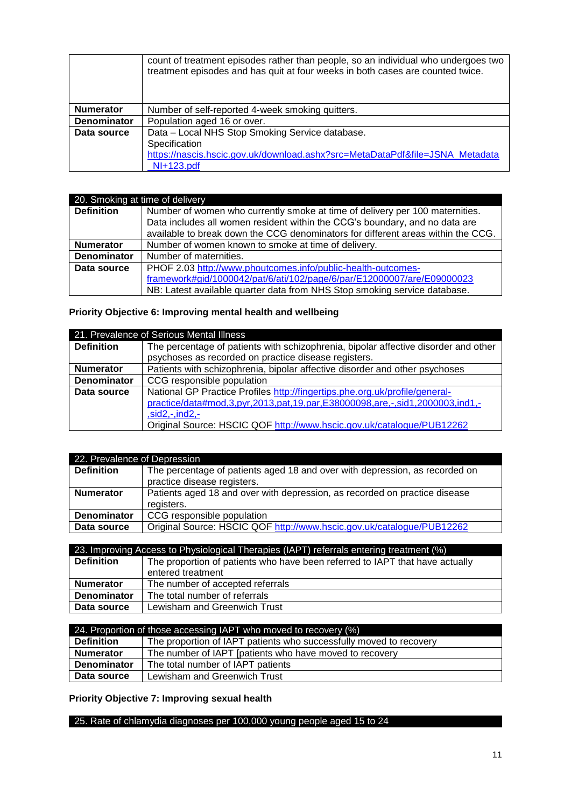|                    | count of treatment episodes rather than people, so an individual who undergoes two<br>treatment episodes and has quit at four weeks in both cases are counted twice. |
|--------------------|----------------------------------------------------------------------------------------------------------------------------------------------------------------------|
| <b>Numerator</b>   | Number of self-reported 4-week smoking quitters.                                                                                                                     |
| <b>Denominator</b> | Population aged 16 or over.                                                                                                                                          |
| Data source        | Data - Local NHS Stop Smoking Service database.                                                                                                                      |
|                    | Specification                                                                                                                                                        |
|                    | https://nascis.hscic.gov.uk/download.ashx?src=MetaDataPdf&file=JSNA Metadata                                                                                         |
|                    | NI+123.pdf                                                                                                                                                           |

| 20. Smoking at time of delivery |                                                                                  |
|---------------------------------|----------------------------------------------------------------------------------|
| <b>Definition</b>               | Number of women who currently smoke at time of delivery per 100 maternities.     |
|                                 | Data includes all women resident within the CCG's boundary, and no data are      |
|                                 | available to break down the CCG denominators for different areas within the CCG. |
| <b>Numerator</b>                | Number of women known to smoke at time of delivery.                              |
| <b>Denominator</b>              | Number of maternities.                                                           |
| Data source                     | PHOF 2.03 http://www.phoutcomes.info/public-health-outcomes-                     |
|                                 | framework#gid/1000042/pat/6/ati/102/page/6/par/E12000007/are/E09000023           |
|                                 | NB: Latest available quarter data from NHS Stop smoking service database.        |

# **Priority Objective 6: Improving mental health and wellbeing**

| 21. Prevalence of Serious Mental Illness |                                                                                     |
|------------------------------------------|-------------------------------------------------------------------------------------|
| <b>Definition</b>                        | The percentage of patients with schizophrenia, bipolar affective disorder and other |
|                                          | psychoses as recorded on practice disease registers.                                |
| <b>Numerator</b>                         | Patients with schizophrenia, bipolar affective disorder and other psychoses         |
| <b>Denominator</b>                       | CCG responsible population                                                          |
| Data source                              | National GP Practice Profiles http://fingertips.phe.org.uk/profile/general-         |
|                                          | practice/data#mod,3,pyr,2013,pat,19,par,E38000098,are,-,sid1,2000003,ind1,-         |
|                                          | $,sid2,-ind2,-$                                                                     |
|                                          | Original Source: HSCIC QOF http://www.hscic.gov.uk/catalogue/PUB12262               |

| 22. Prevalence of Depression |                                                                             |
|------------------------------|-----------------------------------------------------------------------------|
| <b>Definition</b>            | The percentage of patients aged 18 and over with depression, as recorded on |
|                              | practice disease registers.                                                 |
| <b>Numerator</b>             | Patients aged 18 and over with depression, as recorded on practice disease  |
|                              | registers.                                                                  |
| <b>Denominator</b>           | CCG responsible population                                                  |
| Data source                  | Original Source: HSCIC QOF http://www.hscic.gov.uk/catalogue/PUB12262       |

| 23. Improving Access to Physiological Therapies (IAPT) referrals entering treatment (%) |                                                                              |
|-----------------------------------------------------------------------------------------|------------------------------------------------------------------------------|
| <b>Definition</b>                                                                       | The proportion of patients who have been referred to IAPT that have actually |
|                                                                                         | entered treatment                                                            |
| <b>Numerator</b>                                                                        | The number of accepted referrals                                             |
| <b>Denominator</b>                                                                      | The total number of referrals                                                |
| Data source                                                                             | Lewisham and Greenwich Trust                                                 |

| 24. Proportion of those accessing IAPT who moved to recovery (%) |                                                                    |
|------------------------------------------------------------------|--------------------------------------------------------------------|
| <b>Definition</b>                                                | The proportion of IAPT patients who successfully moved to recovery |
| <b>Numerator</b>                                                 | The number of IAPT [patients who have moved to recovery            |
| <b>Denominator</b>                                               | The total number of IAPT patients                                  |
| Data source                                                      | Lewisham and Greenwich Trust                                       |

**Priority Objective 7: Improving sexual health**

25. Rate of chlamydia diagnoses per 100,000 young people aged 15 to 24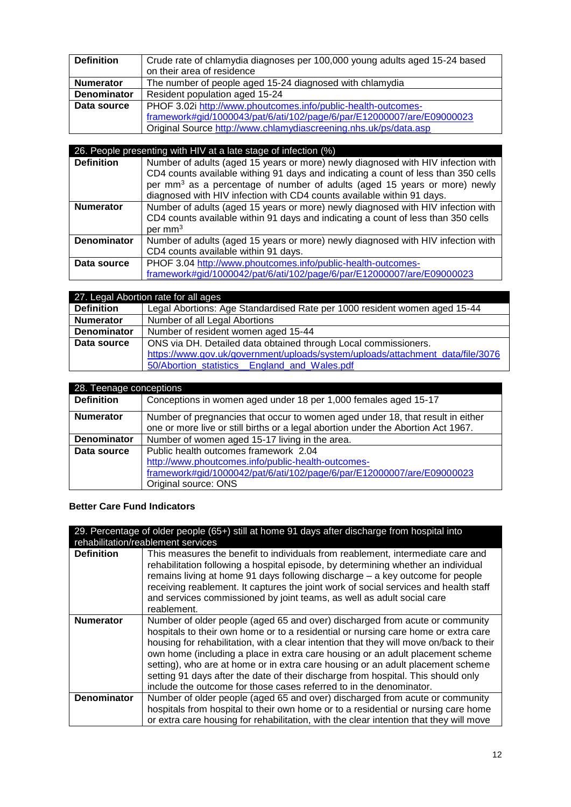| <b>Definition</b>  | Crude rate of chlamydia diagnoses per 100,000 young adults aged 15-24 based<br>on their area of residence |
|--------------------|-----------------------------------------------------------------------------------------------------------|
| <b>Numerator</b>   | The number of people aged 15-24 diagnosed with chlamydia                                                  |
| <b>Denominator</b> | Resident population aged 15-24                                                                            |
| Data source        | PHOF 3.02i http://www.phoutcomes.info/public-health-outcomes-                                             |
|                    | framework#gid/1000043/pat/6/ati/102/page/6/par/E12000007/are/E09000023                                    |
|                    | Original Source http://www.chlamydiascreening.nhs.uk/ps/data.asp                                          |

| 26. People presenting with HIV at a late stage of infection (%) |                                                                                                                                                                                                                                                                                                                                           |
|-----------------------------------------------------------------|-------------------------------------------------------------------------------------------------------------------------------------------------------------------------------------------------------------------------------------------------------------------------------------------------------------------------------------------|
| <b>Definition</b>                                               | Number of adults (aged 15 years or more) newly diagnosed with HIV infection with<br>CD4 counts available withing 91 days and indicating a count of less than 350 cells<br>per mm <sup>3</sup> as a percentage of number of adults (aged 15 years or more) newly<br>diagnosed with HIV infection with CD4 counts available within 91 days. |
| <b>Numerator</b>                                                | Number of adults (aged 15 years or more) newly diagnosed with HIV infection with<br>CD4 counts available within 91 days and indicating a count of less than 350 cells<br>$per \, mm3$                                                                                                                                                     |
| <b>Denominator</b>                                              | Number of adults (aged 15 years or more) newly diagnosed with HIV infection with<br>CD4 counts available within 91 days.                                                                                                                                                                                                                  |
| Data source                                                     | PHOF 3.04 http://www.phoutcomes.info/public-health-outcomes-<br>framework#gid/1000042/pat/6/ati/102/page/6/par/E12000007/are/E09000023                                                                                                                                                                                                    |

| 27. Legal Abortion rate for all ages |                                                                                |
|--------------------------------------|--------------------------------------------------------------------------------|
| <b>Definition</b>                    | Legal Abortions: Age Standardised Rate per 1000 resident women aged 15-44      |
| <b>Numerator</b>                     | Number of all Legal Abortions                                                  |
| <b>Denominator</b>                   | Number of resident women aged 15-44                                            |
| Data source                          | ONS via DH. Detailed data obtained through Local commissioners.                |
|                                      | https://www.gov.uk/government/uploads/system/uploads/attachment_data/file/3076 |
|                                      | 50/Abortion statistics England and Wales.pdf                                   |

| 28. Teenage conceptions |                                                                                                                                                                     |
|-------------------------|---------------------------------------------------------------------------------------------------------------------------------------------------------------------|
| <b>Definition</b>       | Conceptions in women aged under 18 per 1,000 females aged 15-17                                                                                                     |
| <b>Numerator</b>        | Number of pregnancies that occur to women aged under 18, that result in either<br>one or more live or still births or a legal abortion under the Abortion Act 1967. |
| <b>Denominator</b>      | Number of women aged 15-17 living in the area.                                                                                                                      |
| Data source             | Public health outcomes framework 2.04                                                                                                                               |
|                         | http://www.phoutcomes.info/public-health-outcomes-                                                                                                                  |
|                         | framework#gid/1000042/pat/6/ati/102/page/6/par/E12000007/are/E09000023                                                                                              |
|                         | Original source: ONS                                                                                                                                                |

# **Better Care Fund Indicators**

| 29. Percentage of older people (65+) still at home 91 days after discharge from hospital into<br>rehabilitation/reablement services |                                                                                                                                                                                                                                                                                                                                                                                                                                                                                                                                                                                                |
|-------------------------------------------------------------------------------------------------------------------------------------|------------------------------------------------------------------------------------------------------------------------------------------------------------------------------------------------------------------------------------------------------------------------------------------------------------------------------------------------------------------------------------------------------------------------------------------------------------------------------------------------------------------------------------------------------------------------------------------------|
| <b>Definition</b>                                                                                                                   | This measures the benefit to individuals from reablement, intermediate care and<br>rehabilitation following a hospital episode, by determining whether an individual<br>remains living at home 91 days following discharge – a key outcome for people<br>receiving reablement. It captures the joint work of social services and health staff<br>and services commissioned by joint teams, as well as adult social care<br>reablement.                                                                                                                                                         |
| <b>Numerator</b>                                                                                                                    | Number of older people (aged 65 and over) discharged from acute or community<br>hospitals to their own home or to a residential or nursing care home or extra care<br>housing for rehabilitation, with a clear intention that they will move on/back to their<br>own home (including a place in extra care housing or an adult placement scheme<br>setting), who are at home or in extra care housing or an adult placement scheme<br>setting 91 days after the date of their discharge from hospital. This should only<br>include the outcome for those cases referred to in the denominator. |
| <b>Denominator</b>                                                                                                                  | Number of older people (aged 65 and over) discharged from acute or community                                                                                                                                                                                                                                                                                                                                                                                                                                                                                                                   |
|                                                                                                                                     | hospitals from hospital to their own home or to a residential or nursing care home<br>or extra care housing for rehabilitation, with the clear intention that they will move                                                                                                                                                                                                                                                                                                                                                                                                                   |